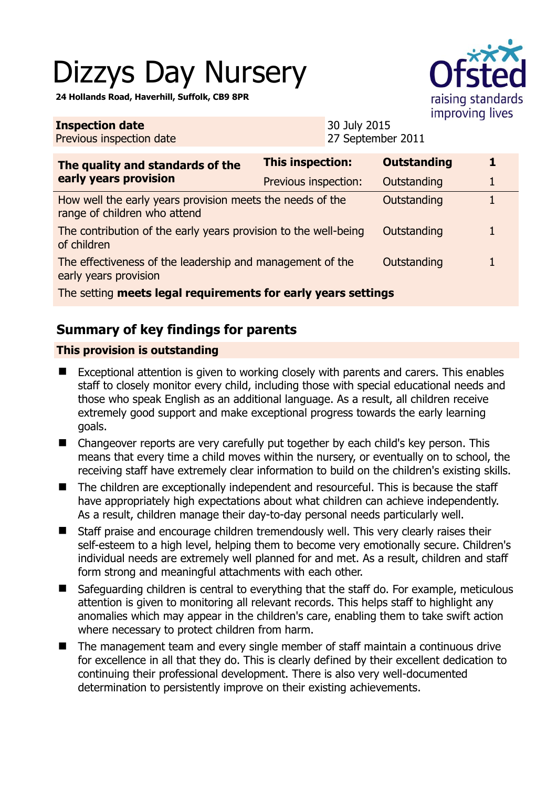# Dizzys Day Nursery

**24 Hollands Road, Haverhill, Suffolk, CB9 8PR** 



**Inspection date** Previous inspection date 30 July 2015 27 September 2011 **The quality and standards of the early years provision This inspection: Outstanding 1**  Previous inspection: Outstanding 1 How well the early years provision meets the needs of the range of children who attend Outstanding 1 The contribution of the early years provision to the well-being of children Outstanding 1 The effectiveness of the leadership and management of the early years provision Outstanding 1 The setting **meets legal requirements for early years settings**

# **Summary of key findings for parents**

## **This provision is outstanding**

- Exceptional attention is given to working closely with parents and carers. This enables staff to closely monitor every child, including those with special educational needs and those who speak English as an additional language. As a result, all children receive extremely good support and make exceptional progress towards the early learning goals.
- Changeover reports are very carefully put together by each child's key person. This means that every time a child moves within the nursery, or eventually on to school, the receiving staff have extremely clear information to build on the children's existing skills.
- The children are exceptionally independent and resourceful. This is because the staff have appropriately high expectations about what children can achieve independently. As a result, children manage their day-to-day personal needs particularly well.
- Staff praise and encourage children tremendously well. This very clearly raises their self-esteem to a high level, helping them to become very emotionally secure. Children's individual needs are extremely well planned for and met. As a result, children and staff form strong and meaningful attachments with each other.
- Safeguarding children is central to everything that the staff do. For example, meticulous attention is given to monitoring all relevant records. This helps staff to highlight any anomalies which may appear in the children's care, enabling them to take swift action where necessary to protect children from harm.
- The management team and every single member of staff maintain a continuous drive for excellence in all that they do. This is clearly defined by their excellent dedication to continuing their professional development. There is also very well-documented determination to persistently improve on their existing achievements.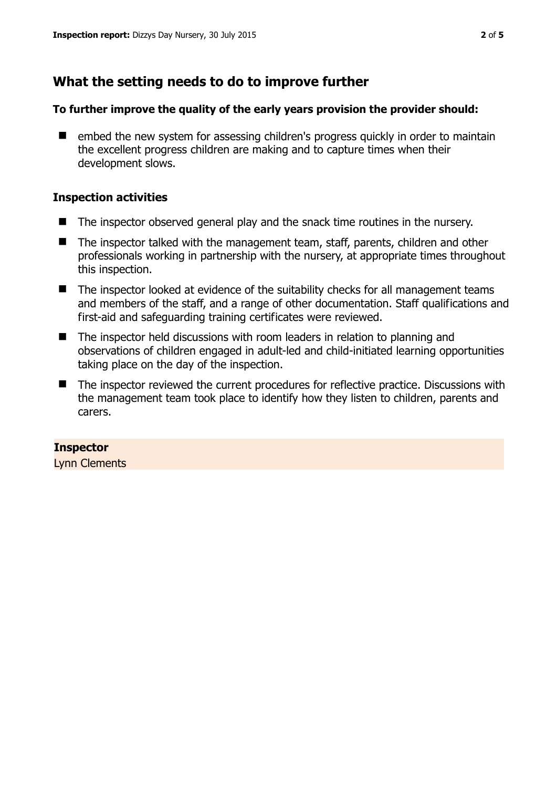# **What the setting needs to do to improve further**

### **To further improve the quality of the early years provision the provider should:**

■ embed the new system for assessing children's progress quickly in order to maintain the excellent progress children are making and to capture times when their development slows.

## **Inspection activities**

- $\blacksquare$  The inspector observed general play and the snack time routines in the nursery.
- The inspector talked with the management team, staff, parents, children and other professionals working in partnership with the nursery, at appropriate times throughout this inspection.
- The inspector looked at evidence of the suitability checks for all management teams and members of the staff, and a range of other documentation. Staff qualifications and first-aid and safeguarding training certificates were reviewed.
- The inspector held discussions with room leaders in relation to planning and observations of children engaged in adult-led and child-initiated learning opportunities taking place on the day of the inspection.
- The inspector reviewed the current procedures for reflective practice. Discussions with the management team took place to identify how they listen to children, parents and carers.

## **Inspector**

Lynn Clements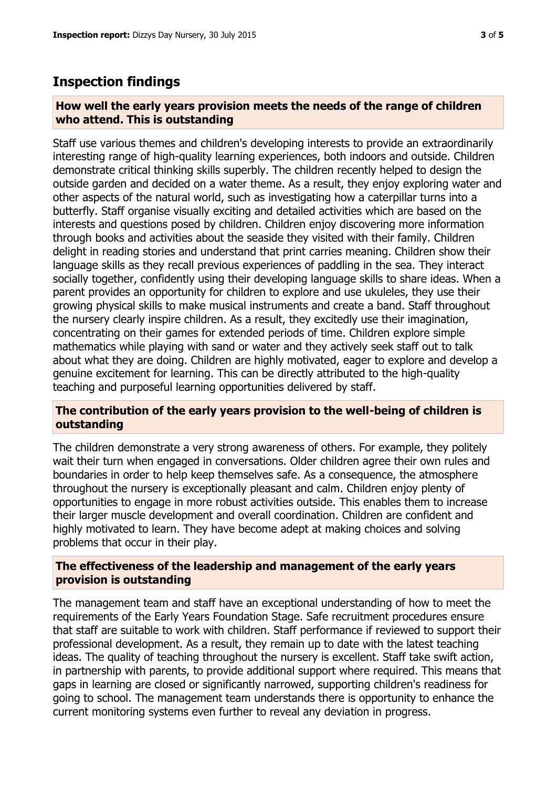# **Inspection findings**

### **How well the early years provision meets the needs of the range of children who attend. This is outstanding**

Staff use various themes and children's developing interests to provide an extraordinarily interesting range of high-quality learning experiences, both indoors and outside. Children demonstrate critical thinking skills superbly. The children recently helped to design the outside garden and decided on a water theme. As a result, they enjoy exploring water and other aspects of the natural world, such as investigating how a caterpillar turns into a butterfly. Staff organise visually exciting and detailed activities which are based on the interests and questions posed by children. Children enjoy discovering more information through books and activities about the seaside they visited with their family. Children delight in reading stories and understand that print carries meaning. Children show their language skills as they recall previous experiences of paddling in the sea. They interact socially together, confidently using their developing language skills to share ideas. When a parent provides an opportunity for children to explore and use ukuleles, they use their growing physical skills to make musical instruments and create a band. Staff throughout the nursery clearly inspire children. As a result, they excitedly use their imagination, concentrating on their games for extended periods of time. Children explore simple mathematics while playing with sand or water and they actively seek staff out to talk about what they are doing. Children are highly motivated, eager to explore and develop a genuine excitement for learning. This can be directly attributed to the high-quality teaching and purposeful learning opportunities delivered by staff.

#### **The contribution of the early years provision to the well-being of children is outstanding**

The children demonstrate a very strong awareness of others. For example, they politely wait their turn when engaged in conversations. Older children agree their own rules and boundaries in order to help keep themselves safe. As a consequence, the atmosphere throughout the nursery is exceptionally pleasant and calm. Children enjoy plenty of opportunities to engage in more robust activities outside. This enables them to increase their larger muscle development and overall coordination. Children are confident and highly motivated to learn. They have become adept at making choices and solving problems that occur in their play.

### **The effectiveness of the leadership and management of the early years provision is outstanding**

The management team and staff have an exceptional understanding of how to meet the requirements of the Early Years Foundation Stage. Safe recruitment procedures ensure that staff are suitable to work with children. Staff performance if reviewed to support their professional development. As a result, they remain up to date with the latest teaching ideas. The quality of teaching throughout the nursery is excellent. Staff take swift action, in partnership with parents, to provide additional support where required. This means that gaps in learning are closed or significantly narrowed, supporting children's readiness for going to school. The management team understands there is opportunity to enhance the current monitoring systems even further to reveal any deviation in progress.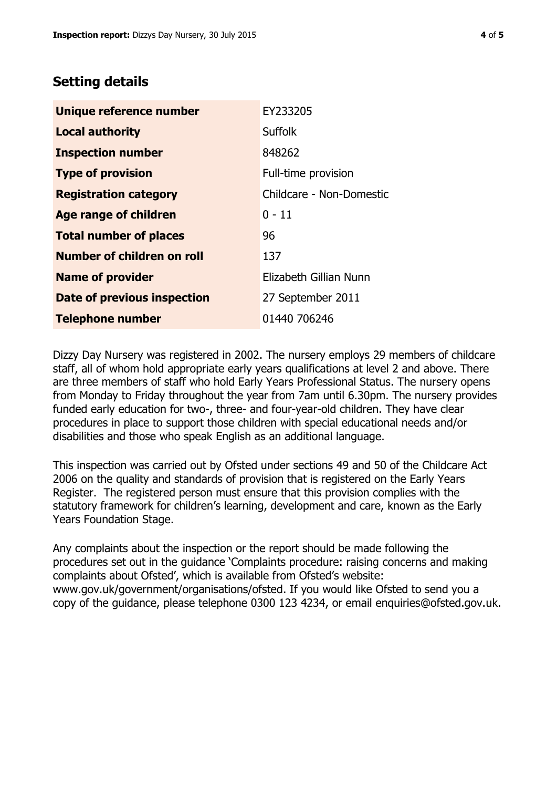# **Setting details**

| Unique reference number       | EY233205                 |
|-------------------------------|--------------------------|
| <b>Local authority</b>        | <b>Suffolk</b>           |
| <b>Inspection number</b>      | 848262                   |
| <b>Type of provision</b>      | Full-time provision      |
| <b>Registration category</b>  | Childcare - Non-Domestic |
| <b>Age range of children</b>  | $0 - 11$                 |
| <b>Total number of places</b> | 96                       |
| Number of children on roll    | 137                      |
| <b>Name of provider</b>       | Elizabeth Gillian Nunn   |
| Date of previous inspection   | 27 September 2011        |
| <b>Telephone number</b>       | 01440 706246             |

Dizzy Day Nursery was registered in 2002. The nursery employs 29 members of childcare staff, all of whom hold appropriate early years qualifications at level 2 and above. There are three members of staff who hold Early Years Professional Status. The nursery opens from Monday to Friday throughout the year from 7am until 6.30pm. The nursery provides funded early education for two-, three- and four-year-old children. They have clear procedures in place to support those children with special educational needs and/or disabilities and those who speak English as an additional language.

This inspection was carried out by Ofsted under sections 49 and 50 of the Childcare Act 2006 on the quality and standards of provision that is registered on the Early Years Register. The registered person must ensure that this provision complies with the statutory framework for children's learning, development and care, known as the Early Years Foundation Stage.

Any complaints about the inspection or the report should be made following the procedures set out in the guidance 'Complaints procedure: raising concerns and making complaints about Ofsted', which is available from Ofsted's website: www.gov.uk/government/organisations/ofsted. If you would like Ofsted to send you a copy of the guidance, please telephone 0300 123 4234, or email enquiries@ofsted.gov.uk.